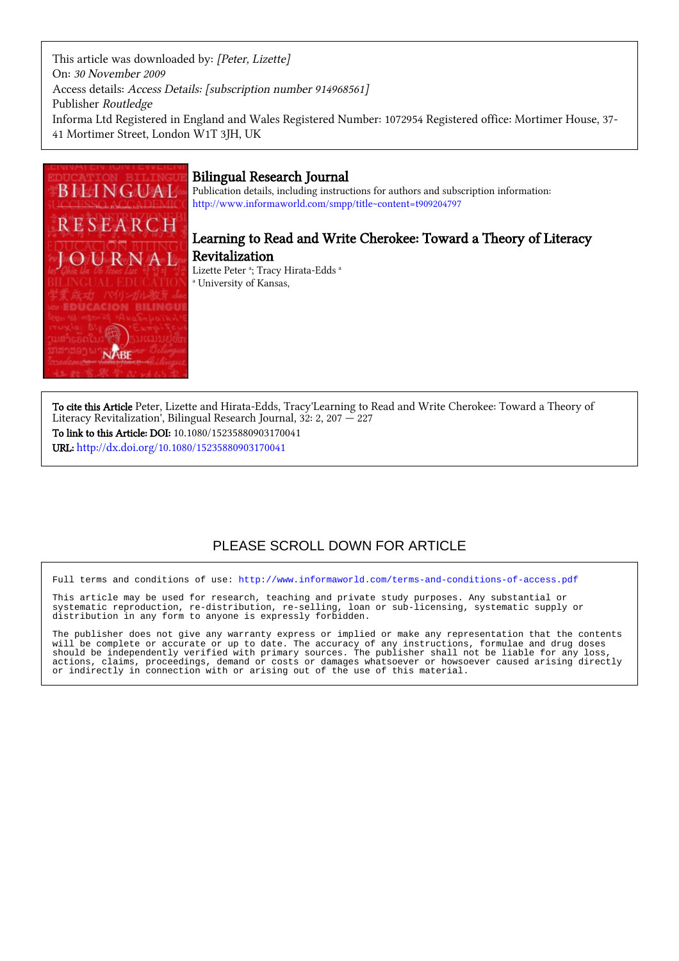This article was downloaded by: [Peter, Lizette] On: 30 November 2009 Access details: Access Details: [subscription number 914968561] Publisher Routledge Informa Ltd Registered in England and Wales Registered Number: 1072954 Registered office: Mortimer House, 37- 41 Mortimer Street, London W1T 3JH, UK



## Bilingual Research Journal

Publication details, including instructions for authors and subscription information: <http://www.informaworld.com/smpp/title~content=t909204797>

## Learning to Read and Write Cherokee: Toward a Theory of Literacy Revitalization

Lizette Peter <sup>a</sup>; Tracy Hirata-Edds <sup>a</sup> a University of Kansas,

To cite this Article Peter, Lizette and Hirata-Edds, Tracy'Learning to Read and Write Cherokee: Toward a Theory of Literacy Revitalization', Bilingual Research Journal,  $32: 2$ ,  $207 - 227$ To link to this Article: DOI: 10.1080/15235880903170041 URL: <http://dx.doi.org/10.1080/15235880903170041>

# PLEASE SCROLL DOWN FOR ARTICLE

Full terms and conditions of use:<http://www.informaworld.com/terms-and-conditions-of-access.pdf>

This article may be used for research, teaching and private study purposes. Any substantial or systematic reproduction, re-distribution, re-selling, loan or sub-licensing, systematic supply or distribution in any form to anyone is expressly forbidden.

The publisher does not give any warranty express or implied or make any representation that the contents will be complete or accurate or up to date. The accuracy of any instructions, formulae and drug doses should be independently verified with primary sources. The publisher shall not be liable for any loss, actions, claims, proceedings, demand or costs or damages whatsoever or howsoever caused arising directly or indirectly in connection with or arising out of the use of this material.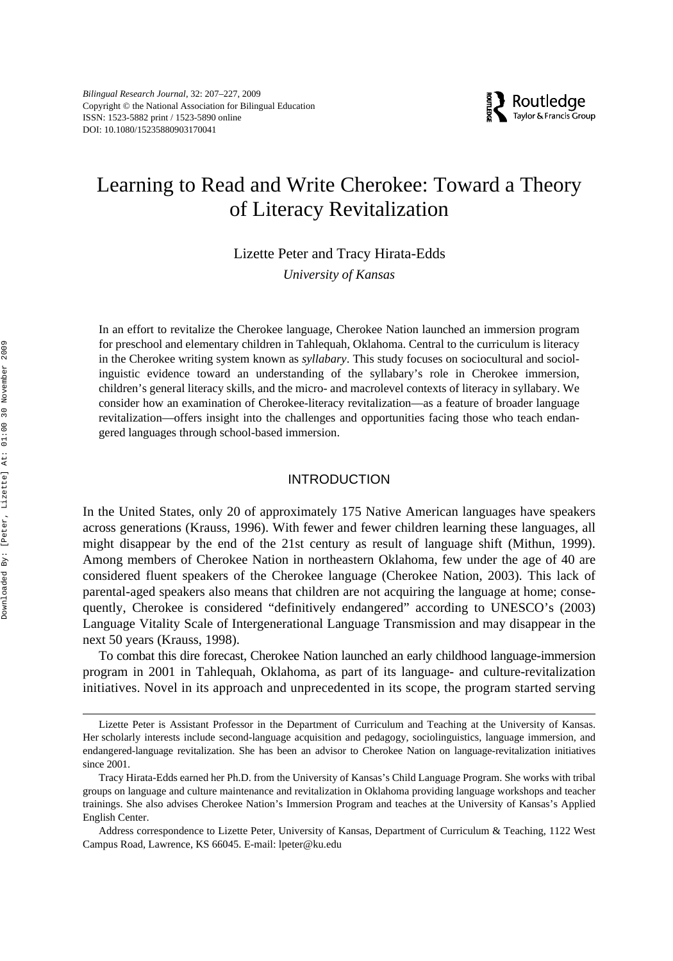

# Learning to Read and Write Cherokee: Toward a Theory of Literacy Revitalization

Lizette Peter and Tracy Hirata-Edds

*University of Kansas*

In an effort to revitalize the Cherokee language, Cherokee Nation launched an immersion program for preschool and elementary children in Tahlequah, Oklahoma. Central to the curriculum is literacy in the Cherokee writing system known as *syllabary*. This study focuses on sociocultural and sociolinguistic evidence toward an understanding of the syllabary's role in Cherokee immersion, children's general literacy skills, and the micro- and macrolevel contexts of literacy in syllabary. We consider how an examination of Cherokee-literacy revitalization—as a feature of broader language revitalization—offers insight into the challenges and opportunities facing those who teach endangered languages through school-based immersion.

#### INTRODUCTION

In the United States, only 20 of approximately 175 Native American languages have speakers across generations (Krauss, 1996). With fewer and fewer children learning these languages, all might disappear by the end of the 21st century as result of language shift (Mithun, 1999). Among members of Cherokee Nation in northeastern Oklahoma, few under the age of 40 are considered fluent speakers of the Cherokee language (Cherokee Nation, 2003). This lack of parental-aged speakers also means that children are not acquiring the language at home; consequently, Cherokee is considered "definitively endangered" according to UNESCO's (2003) Language Vitality Scale of Intergenerational Language Transmission and may disappear in the next 50 years (Krauss, 1998).

To combat this dire forecast, Cherokee Nation launched an early childhood language-immersion program in 2001 in Tahlequah, Oklahoma, as part of its language- and culture-revitalization initiatives. Novel in its approach and unprecedented in its scope, the program started serving

Lizette Peter is Assistant Professor in the Department of Curriculum and Teaching at the University of Kansas. Her scholarly interests include second-language acquisition and pedagogy, sociolinguistics, language immersion, and endangered-language revitalization. She has been an advisor to Cherokee Nation on language-revitalization initiatives since 2001.

Tracy Hirata-Edds earned her Ph.D. from the University of Kansas's Child Language Program. She works with tribal groups on language and culture maintenance and revitalization in Oklahoma providing language workshops and teacher trainings. She also advises Cherokee Nation's Immersion Program and teaches at the University of Kansas's Applied English Center.

Address correspondence to Lizette Peter, University of Kansas, Department of Curriculum & Teaching, 1122 West Campus Road, Lawrence, KS 66045. E-mail: lpeter@ku.edu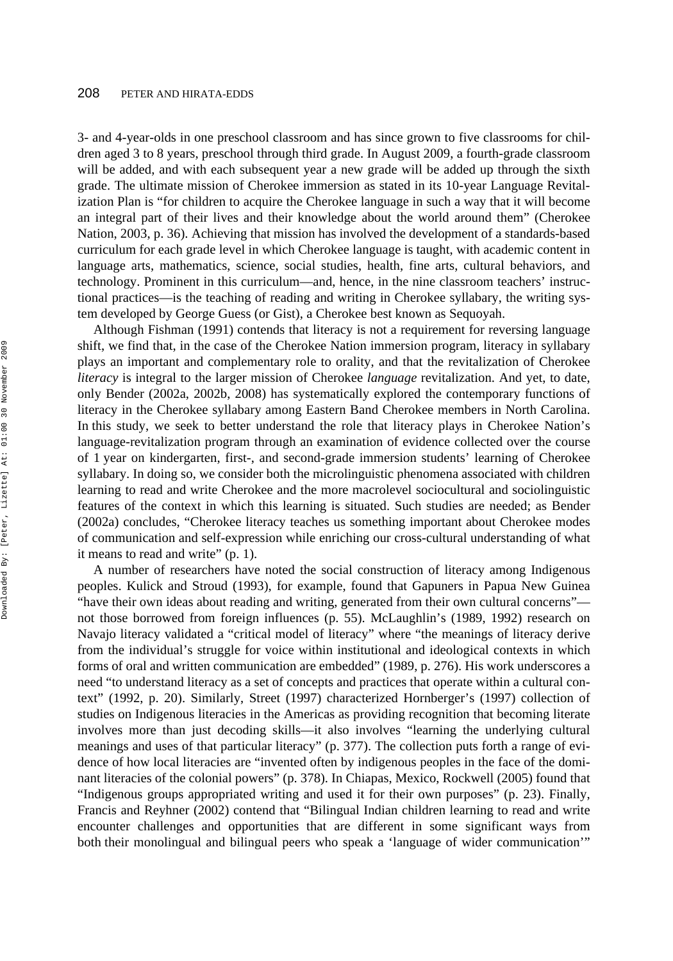3- and 4-year-olds in one preschool classroom and has since grown to five classrooms for children aged 3 to 8 years, preschool through third grade. In August 2009, a fourth-grade classroom will be added, and with each subsequent year a new grade will be added up through the sixth grade. The ultimate mission of Cherokee immersion as stated in its 10-year Language Revitalization Plan is "for children to acquire the Cherokee language in such a way that it will become an integral part of their lives and their knowledge about the world around them" (Cherokee Nation, 2003, p. 36). Achieving that mission has involved the development of a standards-based curriculum for each grade level in which Cherokee language is taught, with academic content in language arts, mathematics, science, social studies, health, fine arts, cultural behaviors, and technology. Prominent in this curriculum—and, hence, in the nine classroom teachers' instructional practices—is the teaching of reading and writing in Cherokee syllabary, the writing system developed by George Guess (or Gist), a Cherokee best known as Sequoyah.

Although Fishman (1991) contends that literacy is not a requirement for reversing language shift, we find that, in the case of the Cherokee Nation immersion program, literacy in syllabary plays an important and complementary role to orality, and that the revitalization of Cherokee *literacy* is integral to the larger mission of Cherokee *language* revitalization. And yet, to date, only Bender (2002a, 2002b, 2008) has systematically explored the contemporary functions of literacy in the Cherokee syllabary among Eastern Band Cherokee members in North Carolina. In this study, we seek to better understand the role that literacy plays in Cherokee Nation's language-revitalization program through an examination of evidence collected over the course of 1 year on kindergarten, first-, and second-grade immersion students' learning of Cherokee syllabary. In doing so, we consider both the microlinguistic phenomena associated with children learning to read and write Cherokee and the more macrolevel sociocultural and sociolinguistic features of the context in which this learning is situated. Such studies are needed; as Bender (2002a) concludes, "Cherokee literacy teaches us something important about Cherokee modes of communication and self-expression while enriching our cross-cultural understanding of what it means to read and write" (p. 1).

A number of researchers have noted the social construction of literacy among Indigenous peoples. Kulick and Stroud (1993), for example, found that Gapuners in Papua New Guinea "have their own ideas about reading and writing, generated from their own cultural concerns" not those borrowed from foreign influences (p. 55). McLaughlin's (1989, 1992) research on Navajo literacy validated a "critical model of literacy" where "the meanings of literacy derive from the individual's struggle for voice within institutional and ideological contexts in which forms of oral and written communication are embedded" (1989, p. 276). His work underscores a need "to understand literacy as a set of concepts and practices that operate within a cultural context" (1992, p. 20). Similarly, Street (1997) characterized Hornberger's (1997) collection of studies on Indigenous literacies in the Americas as providing recognition that becoming literate involves more than just decoding skills—it also involves "learning the underlying cultural meanings and uses of that particular literacy" (p. 377). The collection puts forth a range of evidence of how local literacies are "invented often by indigenous peoples in the face of the dominant literacies of the colonial powers" (p. 378). In Chiapas, Mexico, Rockwell (2005) found that "Indigenous groups appropriated writing and used it for their own purposes" (p. 23). Finally, Francis and Reyhner (2002) contend that "Bilingual Indian children learning to read and write encounter challenges and opportunities that are different in some significant ways from both their monolingual and bilingual peers who speak a 'language of wider communication'"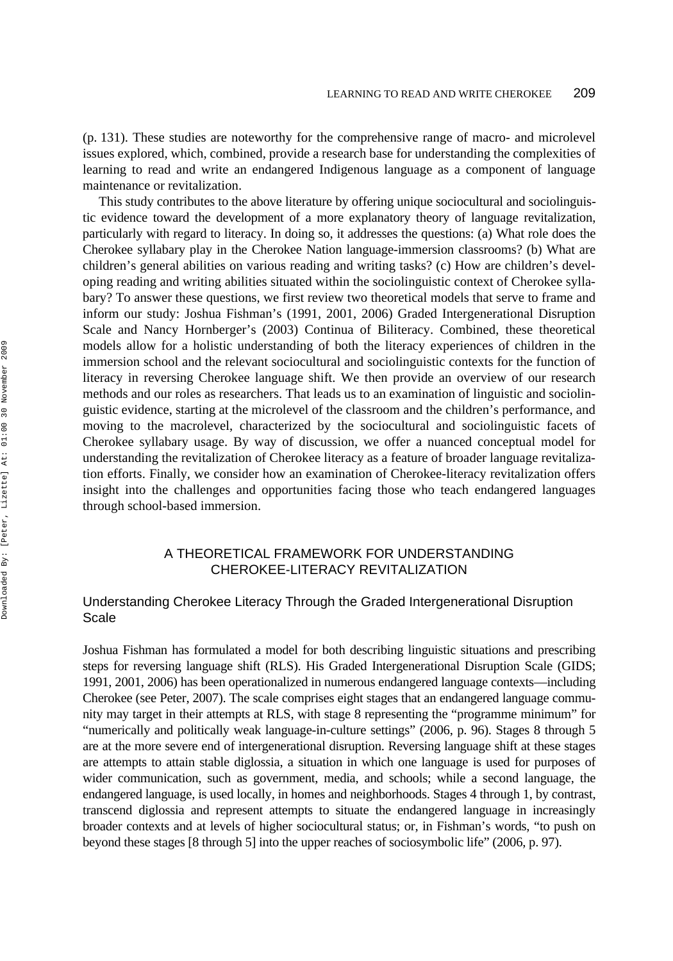(p. 131). These studies are noteworthy for the comprehensive range of macro- and microlevel issues explored, which, combined, provide a research base for understanding the complexities of learning to read and write an endangered Indigenous language as a component of language maintenance or revitalization.

This study contributes to the above literature by offering unique sociocultural and sociolinguistic evidence toward the development of a more explanatory theory of language revitalization, particularly with regard to literacy. In doing so, it addresses the questions: (a) What role does the Cherokee syllabary play in the Cherokee Nation language-immersion classrooms? (b) What are children's general abilities on various reading and writing tasks? (c) How are children's developing reading and writing abilities situated within the sociolinguistic context of Cherokee syllabary? To answer these questions, we first review two theoretical models that serve to frame and inform our study: Joshua Fishman's (1991, 2001, 2006) Graded Intergenerational Disruption Scale and Nancy Hornberger's (2003) Continua of Biliteracy. Combined, these theoretical models allow for a holistic understanding of both the literacy experiences of children in the immersion school and the relevant sociocultural and sociolinguistic contexts for the function of literacy in reversing Cherokee language shift. We then provide an overview of our research methods and our roles as researchers. That leads us to an examination of linguistic and sociolinguistic evidence, starting at the microlevel of the classroom and the children's performance, and moving to the macrolevel, characterized by the sociocultural and sociolinguistic facets of Cherokee syllabary usage. By way of discussion, we offer a nuanced conceptual model for understanding the revitalization of Cherokee literacy as a feature of broader language revitalization efforts. Finally, we consider how an examination of Cherokee-literacy revitalization offers insight into the challenges and opportunities facing those who teach endangered languages through school-based immersion.

## A THEORETICAL FRAMEWORK FOR UNDERSTANDING CHEROKEE-LITERACY REVITALIZATION

## Understanding Cherokee Literacy Through the Graded Intergenerational Disruption Scale

Joshua Fishman has formulated a model for both describing linguistic situations and prescribing steps for reversing language shift (RLS). His Graded Intergenerational Disruption Scale (GIDS; 1991, 2001, 2006) has been operationalized in numerous endangered language contexts—including Cherokee (see Peter, 2007). The scale comprises eight stages that an endangered language community may target in their attempts at RLS, with stage 8 representing the "programme minimum" for "numerically and politically weak language-in-culture settings" (2006, p. 96). Stages 8 through 5 are at the more severe end of intergenerational disruption. Reversing language shift at these stages are attempts to attain stable diglossia, a situation in which one language is used for purposes of wider communication, such as government, media, and schools; while a second language, the endangered language, is used locally, in homes and neighborhoods. Stages 4 through 1, by contrast, transcend diglossia and represent attempts to situate the endangered language in increasingly broader contexts and at levels of higher sociocultural status; or, in Fishman's words, "to push on beyond these stages [8 through 5] into the upper reaches of sociosymbolic life" (2006, p. 97).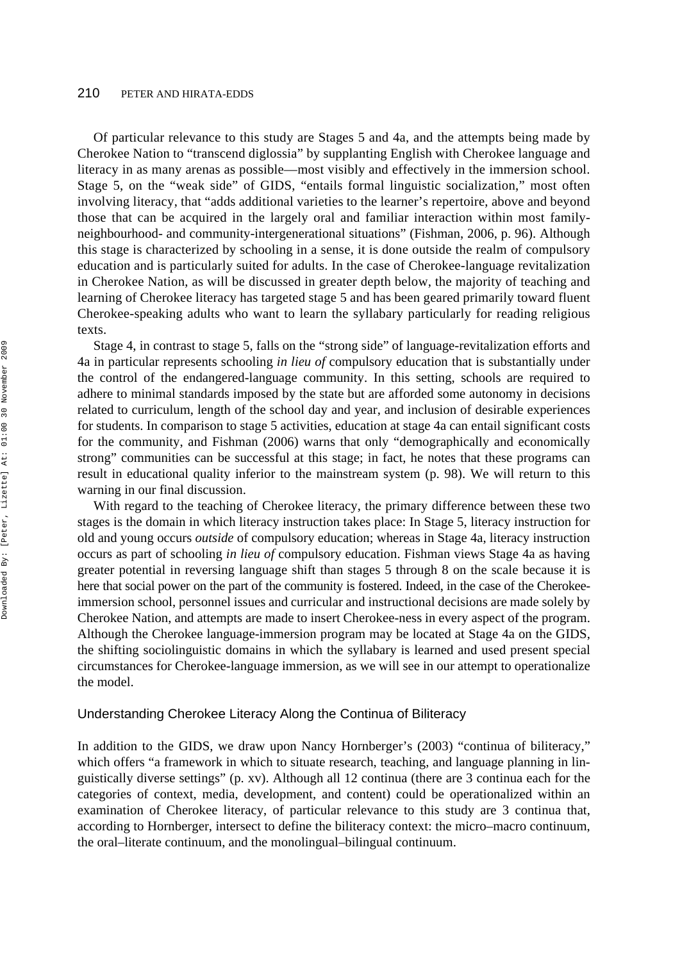Of particular relevance to this study are Stages 5 and 4a, and the attempts being made by Cherokee Nation to "transcend diglossia" by supplanting English with Cherokee language and literacy in as many arenas as possible—most visibly and effectively in the immersion school. Stage 5, on the "weak side" of GIDS, "entails formal linguistic socialization," most often involving literacy, that "adds additional varieties to the learner's repertoire, above and beyond those that can be acquired in the largely oral and familiar interaction within most familyneighbourhood- and community-intergenerational situations" (Fishman, 2006, p. 96). Although this stage is characterized by schooling in a sense, it is done outside the realm of compulsory education and is particularly suited for adults. In the case of Cherokee-language revitalization in Cherokee Nation, as will be discussed in greater depth below, the majority of teaching and learning of Cherokee literacy has targeted stage 5 and has been geared primarily toward fluent Cherokee-speaking adults who want to learn the syllabary particularly for reading religious texts.

Stage 4, in contrast to stage 5, falls on the "strong side" of language-revitalization efforts and 4a in particular represents schooling *in lieu of* compulsory education that is substantially under the control of the endangered-language community. In this setting, schools are required to adhere to minimal standards imposed by the state but are afforded some autonomy in decisions related to curriculum, length of the school day and year, and inclusion of desirable experiences for students. In comparison to stage 5 activities, education at stage 4a can entail significant costs for the community, and Fishman (2006) warns that only "demographically and economically strong" communities can be successful at this stage; in fact, he notes that these programs can result in educational quality inferior to the mainstream system (p. 98). We will return to this warning in our final discussion.

With regard to the teaching of Cherokee literacy, the primary difference between these two stages is the domain in which literacy instruction takes place: In Stage 5, literacy instruction for old and young occurs *outside* of compulsory education; whereas in Stage 4a, literacy instruction occurs as part of schooling *in lieu of* compulsory education. Fishman views Stage 4a as having greater potential in reversing language shift than stages 5 through 8 on the scale because it is here that social power on the part of the community is fostered. Indeed, in the case of the Cherokeeimmersion school, personnel issues and curricular and instructional decisions are made solely by Cherokee Nation, and attempts are made to insert Cherokee-ness in every aspect of the program. Although the Cherokee language-immersion program may be located at Stage 4a on the GIDS, the shifting sociolinguistic domains in which the syllabary is learned and used present special circumstances for Cherokee-language immersion, as we will see in our attempt to operationalize the model.

#### Understanding Cherokee Literacy Along the Continua of Biliteracy

In addition to the GIDS, we draw upon Nancy Hornberger's (2003) "continua of biliteracy," which offers "a framework in which to situate research, teaching, and language planning in linguistically diverse settings" (p. xv). Although all 12 continua (there are 3 continua each for the categories of context, media, development, and content) could be operationalized within an examination of Cherokee literacy, of particular relevance to this study are 3 continua that, according to Hornberger, intersect to define the biliteracy context: the micro–macro continuum, the oral–literate continuum, and the monolingual–bilingual continuum.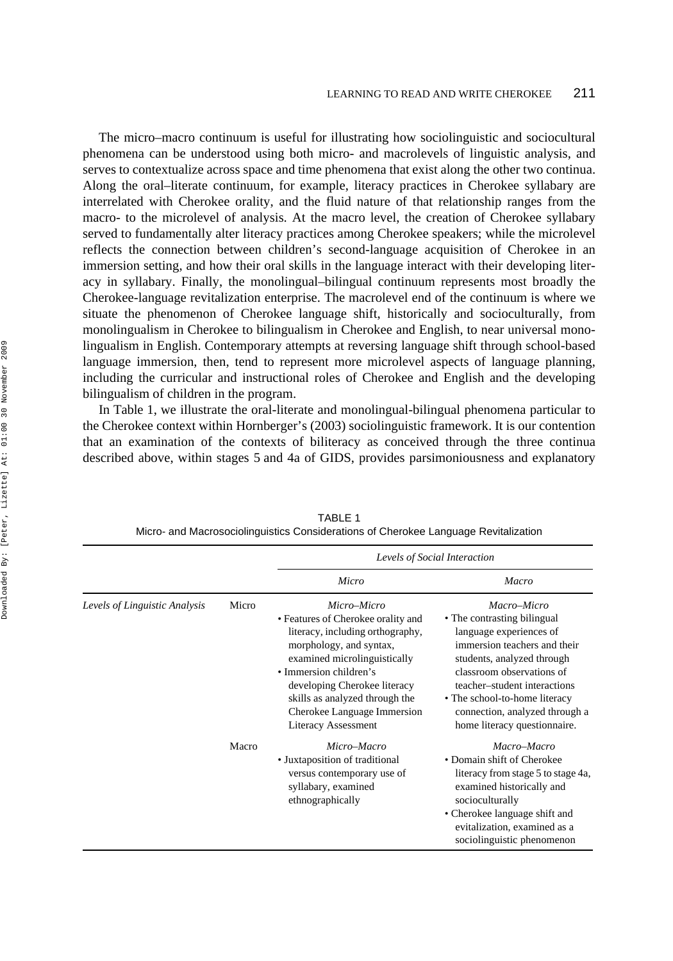The micro–macro continuum is useful for illustrating how sociolinguistic and sociocultural phenomena can be understood using both micro- and macrolevels of linguistic analysis, and serves to contextualize across space and time phenomena that exist along the other two continua. Along the oral–literate continuum, for example, literacy practices in Cherokee syllabary are interrelated with Cherokee orality, and the fluid nature of that relationship ranges from the macro- to the microlevel of analysis. At the macro level, the creation of Cherokee syllabary served to fundamentally alter literacy practices among Cherokee speakers; while the microlevel reflects the connection between children's second-language acquisition of Cherokee in an immersion setting, and how their oral skills in the language interact with their developing literacy in syllabary. Finally, the monolingual–bilingual continuum represents most broadly the Cherokee-language revitalization enterprise. The macrolevel end of the continuum is where we situate the phenomenon of Cherokee language shift, historically and socioculturally, from monolingualism in Cherokee to bilingualism in Cherokee and English, to near universal monolingualism in English. Contemporary attempts at reversing language shift through school-based language immersion, then, tend to represent more microlevel aspects of language planning, including the curricular and instructional roles of Cherokee and English and the developing bilingualism of children in the program.

In Table 1, we illustrate the oral-literate and monolingual-bilingual phenomena particular to the Cherokee context within Hornberger's (2003) sociolinguistic framework. It is our contention that an examination of the contexts of biliteracy as conceived through the three continua described above, within stages 5 and 4a of GIDS, provides parsimoniousness and explanatory

|                               |       | Levels of Social Interaction                                                                                                                                                                                                                                                                              |                                                                                                                                                                                                                                                                                                     |  |  |
|-------------------------------|-------|-----------------------------------------------------------------------------------------------------------------------------------------------------------------------------------------------------------------------------------------------------------------------------------------------------------|-----------------------------------------------------------------------------------------------------------------------------------------------------------------------------------------------------------------------------------------------------------------------------------------------------|--|--|
|                               |       | Micro                                                                                                                                                                                                                                                                                                     | Macro                                                                                                                                                                                                                                                                                               |  |  |
| Levels of Linguistic Analysis | Micro | Micro-Micro<br>• Features of Cherokee orality and<br>literacy, including orthography,<br>morphology, and syntax,<br>examined microlinguistically<br>• Immersion children's<br>developing Cherokee literacy<br>skills as analyzed through the<br>Cherokee Language Immersion<br><b>Literacy Assessment</b> | Macro-Micro<br>• The contrasting bilingual<br>language experiences of<br>immersion teachers and their<br>students, analyzed through<br>classroom observations of<br>teacher-student interactions<br>• The school-to-home literacy<br>connection, analyzed through a<br>home literacy questionnaire. |  |  |
|                               | Macro | Micro-Macro<br>• Juxtaposition of traditional<br>versus contemporary use of<br>syllabary, examined<br>ethnographically                                                                                                                                                                                    | Macro-Macro<br>• Domain shift of Cherokee<br>literacy from stage 5 to stage 4a,<br>examined historically and<br>socioculturally<br>• Cherokee language shift and<br>evitalization, examined as a<br>sociolinguistic phenomenon                                                                      |  |  |

TABLE 1 Micro- and Macrosociolinguistics Considerations of Cherokee Language Revitalization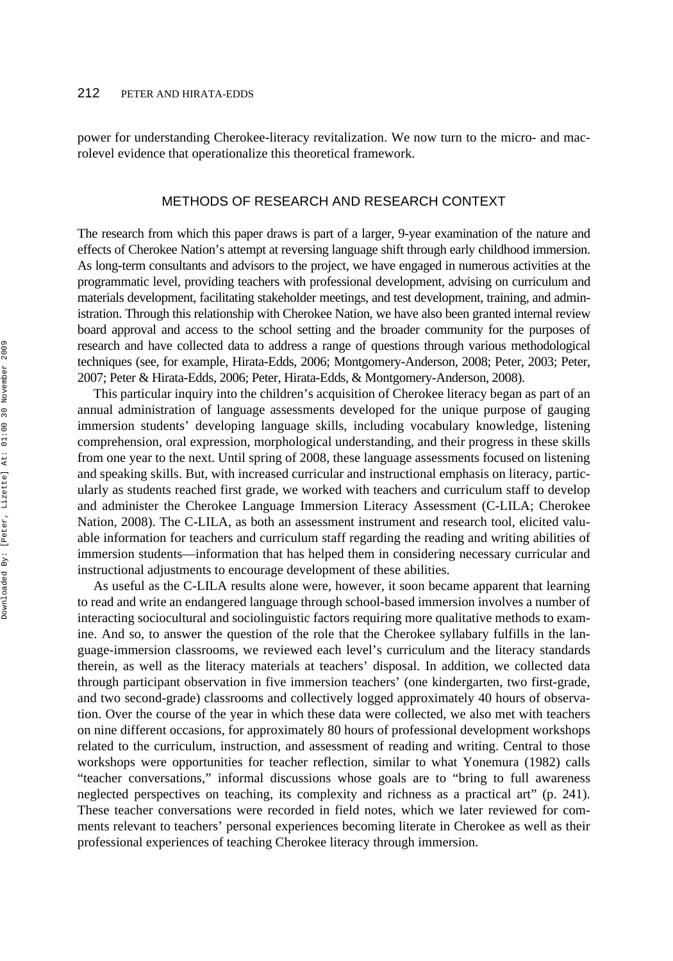power for understanding Cherokee-literacy revitalization. We now turn to the micro- and macrolevel evidence that operationalize this theoretical framework.

#### METHODS OF RESEARCH AND RESEARCH CONTEXT

The research from which this paper draws is part of a larger, 9-year examination of the nature and effects of Cherokee Nation's attempt at reversing language shift through early childhood immersion. As long-term consultants and advisors to the project, we have engaged in numerous activities at the programmatic level, providing teachers with professional development, advising on curriculum and materials development, facilitating stakeholder meetings, and test development, training, and administration. Through this relationship with Cherokee Nation, we have also been granted internal review board approval and access to the school setting and the broader community for the purposes of research and have collected data to address a range of questions through various methodological techniques (see, for example, Hirata-Edds, 2006; Montgomery-Anderson, 2008; Peter, 2003; Peter, 2007; Peter & Hirata-Edds, 2006; Peter, Hirata-Edds, & Montgomery-Anderson, 2008).

This particular inquiry into the children's acquisition of Cherokee literacy began as part of an annual administration of language assessments developed for the unique purpose of gauging immersion students' developing language skills, including vocabulary knowledge, listening comprehension, oral expression, morphological understanding, and their progress in these skills from one year to the next. Until spring of 2008, these language assessments focused on listening and speaking skills. But, with increased curricular and instructional emphasis on literacy, particularly as students reached first grade, we worked with teachers and curriculum staff to develop and administer the Cherokee Language Immersion Literacy Assessment (C-LILA; Cherokee Nation, 2008). The C-LILA, as both an assessment instrument and research tool, elicited valuable information for teachers and curriculum staff regarding the reading and writing abilities of immersion students—information that has helped them in considering necessary curricular and instructional adjustments to encourage development of these abilities.

As useful as the C-LILA results alone were, however, it soon became apparent that learning to read and write an endangered language through school-based immersion involves a number of interacting sociocultural and sociolinguistic factors requiring more qualitative methods to examine. And so, to answer the question of the role that the Cherokee syllabary fulfills in the language-immersion classrooms, we reviewed each level's curriculum and the literacy standards therein, as well as the literacy materials at teachers' disposal. In addition, we collected data through participant observation in five immersion teachers' (one kindergarten, two first-grade, and two second-grade) classrooms and collectively logged approximately 40 hours of observation. Over the course of the year in which these data were collected, we also met with teachers on nine different occasions, for approximately 80 hours of professional development workshops related to the curriculum, instruction, and assessment of reading and writing. Central to those workshops were opportunities for teacher reflection, similar to what Yonemura (1982) calls "teacher conversations," informal discussions whose goals are to "bring to full awareness neglected perspectives on teaching, its complexity and richness as a practical art" (p. 241). These teacher conversations were recorded in field notes, which we later reviewed for comments relevant to teachers' personal experiences becoming literate in Cherokee as well as their professional experiences of teaching Cherokee literacy through immersion.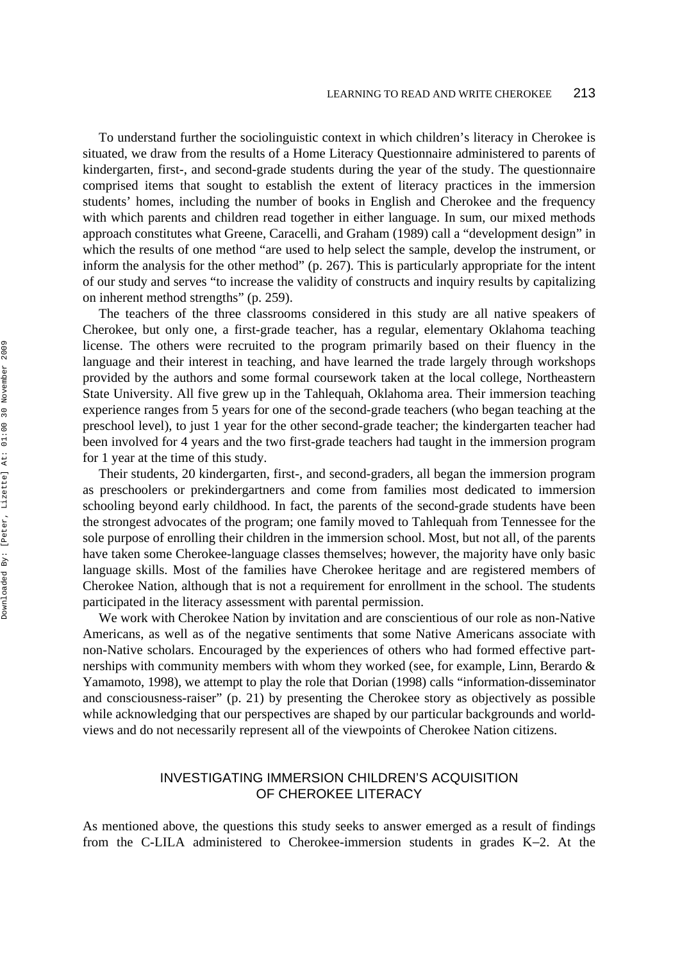To understand further the sociolinguistic context in which children's literacy in Cherokee is situated, we draw from the results of a Home Literacy Questionnaire administered to parents of kindergarten, first-, and second-grade students during the year of the study. The questionnaire comprised items that sought to establish the extent of literacy practices in the immersion students' homes, including the number of books in English and Cherokee and the frequency with which parents and children read together in either language. In sum, our mixed methods approach constitutes what Greene, Caracelli, and Graham (1989) call a "development design" in which the results of one method "are used to help select the sample, develop the instrument, or inform the analysis for the other method" (p. 267). This is particularly appropriate for the intent of our study and serves "to increase the validity of constructs and inquiry results by capitalizing on inherent method strengths" (p. 259).

The teachers of the three classrooms considered in this study are all native speakers of Cherokee, but only one, a first-grade teacher, has a regular, elementary Oklahoma teaching license. The others were recruited to the program primarily based on their fluency in the language and their interest in teaching, and have learned the trade largely through workshops provided by the authors and some formal coursework taken at the local college, Northeastern State University. All five grew up in the Tahlequah, Oklahoma area. Their immersion teaching experience ranges from 5 years for one of the second-grade teachers (who began teaching at the preschool level), to just 1 year for the other second-grade teacher; the kindergarten teacher had been involved for 4 years and the two first-grade teachers had taught in the immersion program for 1 year at the time of this study.

Their students, 20 kindergarten, first-, and second-graders, all began the immersion program as preschoolers or prekindergartners and come from families most dedicated to immersion schooling beyond early childhood. In fact, the parents of the second-grade students have been the strongest advocates of the program; one family moved to Tahlequah from Tennessee for the sole purpose of enrolling their children in the immersion school. Most, but not all, of the parents have taken some Cherokee-language classes themselves; however, the majority have only basic language skills. Most of the families have Cherokee heritage and are registered members of Cherokee Nation, although that is not a requirement for enrollment in the school. The students participated in the literacy assessment with parental permission.

We work with Cherokee Nation by invitation and are conscientious of our role as non-Native Americans, as well as of the negative sentiments that some Native Americans associate with non-Native scholars. Encouraged by the experiences of others who had formed effective partnerships with community members with whom they worked (see, for example, Linn, Berardo & Yamamoto, 1998), we attempt to play the role that Dorian (1998) calls "information-disseminator and consciousness-raiser" (p. 21) by presenting the Cherokee story as objectively as possible while acknowledging that our perspectives are shaped by our particular backgrounds and worldviews and do not necessarily represent all of the viewpoints of Cherokee Nation citizens.

## INVESTIGATING IMMERSION CHILDREN'S ACQUISITION OF CHEROKEE LITERACY

As mentioned above, the questions this study seeks to answer emerged as a result of findings from the C-LILA administered to Cherokee-immersion students in grades K−2. At the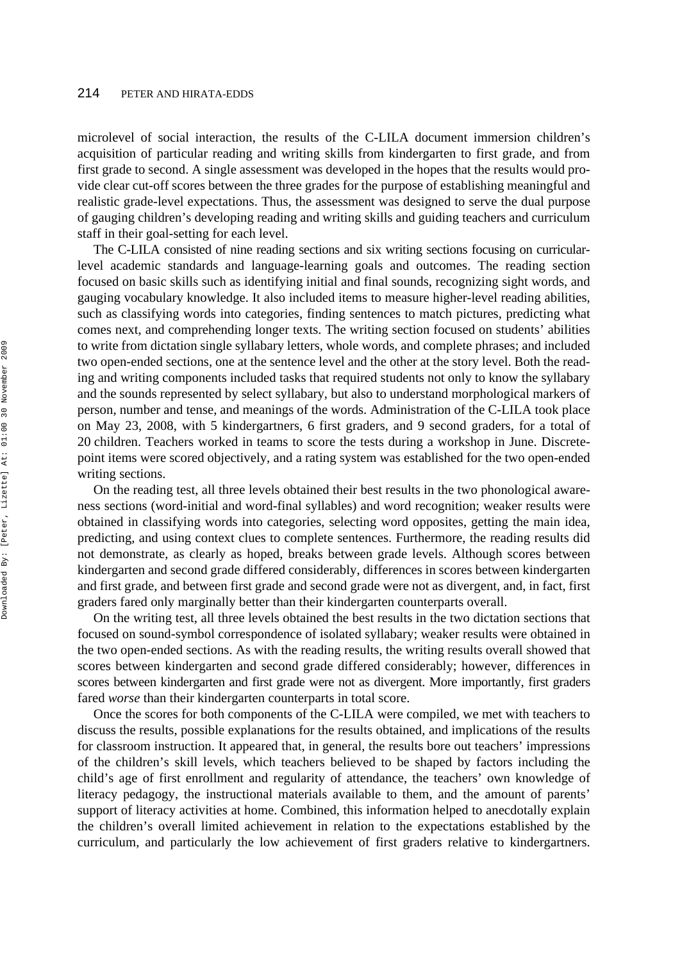microlevel of social interaction, the results of the C-LILA document immersion children's acquisition of particular reading and writing skills from kindergarten to first grade, and from first grade to second. A single assessment was developed in the hopes that the results would provide clear cut-off scores between the three grades for the purpose of establishing meaningful and realistic grade-level expectations. Thus, the assessment was designed to serve the dual purpose of gauging children's developing reading and writing skills and guiding teachers and curriculum staff in their goal-setting for each level.

The C-LILA consisted of nine reading sections and six writing sections focusing on curricularlevel academic standards and language-learning goals and outcomes. The reading section focused on basic skills such as identifying initial and final sounds, recognizing sight words, and gauging vocabulary knowledge. It also included items to measure higher-level reading abilities, such as classifying words into categories, finding sentences to match pictures, predicting what comes next, and comprehending longer texts. The writing section focused on students' abilities to write from dictation single syllabary letters, whole words, and complete phrases; and included two open-ended sections, one at the sentence level and the other at the story level. Both the reading and writing components included tasks that required students not only to know the syllabary and the sounds represented by select syllabary, but also to understand morphological markers of person, number and tense, and meanings of the words. Administration of the C-LILA took place on May 23, 2008, with 5 kindergartners, 6 first graders, and 9 second graders, for a total of 20 children. Teachers worked in teams to score the tests during a workshop in June. Discretepoint items were scored objectively, and a rating system was established for the two open-ended writing sections.

On the reading test, all three levels obtained their best results in the two phonological awareness sections (word-initial and word-final syllables) and word recognition; weaker results were obtained in classifying words into categories, selecting word opposites, getting the main idea, predicting, and using context clues to complete sentences. Furthermore, the reading results did not demonstrate, as clearly as hoped, breaks between grade levels. Although scores between kindergarten and second grade differed considerably, differences in scores between kindergarten and first grade, and between first grade and second grade were not as divergent, and, in fact, first graders fared only marginally better than their kindergarten counterparts overall.

On the writing test, all three levels obtained the best results in the two dictation sections that focused on sound-symbol correspondence of isolated syllabary; weaker results were obtained in the two open-ended sections. As with the reading results, the writing results overall showed that scores between kindergarten and second grade differed considerably; however, differences in scores between kindergarten and first grade were not as divergent. More importantly, first graders fared *worse* than their kindergarten counterparts in total score.

Once the scores for both components of the C-LILA were compiled, we met with teachers to discuss the results, possible explanations for the results obtained, and implications of the results for classroom instruction. It appeared that, in general, the results bore out teachers' impressions of the children's skill levels, which teachers believed to be shaped by factors including the child's age of first enrollment and regularity of attendance, the teachers' own knowledge of literacy pedagogy, the instructional materials available to them, and the amount of parents' support of literacy activities at home. Combined, this information helped to anecdotally explain the children's overall limited achievement in relation to the expectations established by the curriculum, and particularly the low achievement of first graders relative to kindergartners.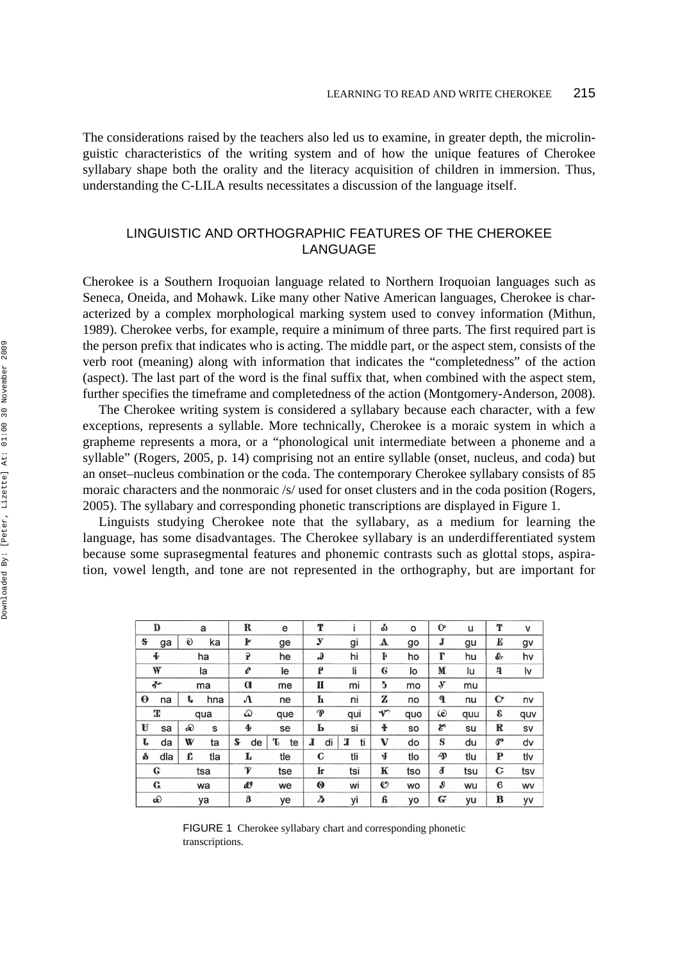The considerations raised by the teachers also led us to examine, in greater depth, the microlinguistic characteristics of the writing system and of how the unique features of Cherokee syllabary shape both the orality and the literacy acquisition of children in immersion. Thus, understanding the C-LILA results necessitates a discussion of the language itself.

## LINGUISTIC AND ORTHOGRAPHIC FEATURES OF THE CHEROKEE LANGUAGE

Cherokee is a Southern Iroquoian language related to Northern Iroquoian languages such as Seneca, Oneida, and Mohawk. Like many other Native American languages, Cherokee is characterized by a complex morphological marking system used to convey information (Mithun, 1989). Cherokee verbs, for example, require a minimum of three parts. The first required part is the person prefix that indicates who is acting. The middle part, or the aspect stem, consists of the verb root (meaning) along with information that indicates the "completedness" of the action (aspect). The last part of the word is the final suffix that, when combined with the aspect stem, further specifies the timeframe and completedness of the action (Montgomery-Anderson, 2008).

The Cherokee writing system is considered a syllabary because each character, with a few exceptions, represents a syllable. More technically, Cherokee is a moraic system in which a grapheme represents a mora, or a "phonological unit intermediate between a phoneme and a syllable" (Rogers, 2005, p. 14) comprising not an entire syllable (onset, nucleus, and coda) but an onset–nucleus combination or the coda. The contemporary Cherokee syllabary consists of 85 moraic characters and the nonmoraic /s/ used for onset clusters and in the coda position (Rogers, 2005). The syllabary and corresponding phonetic transcriptions are displayed in Figure 1.

Linguists studying Cherokee note that the syllabary, as a medium for learning the language, has some disadvantages. The Cherokee syllabary is an underdifferentiated system because some suprasegmental features and phonemic contrasts such as glottal stops, aspiration, vowel length, and tone are not represented in the orthography, but are important for

|                       | D        |     | a   |                        | R<br>e  |     | Т   |                       |    | δ       | o              | $\mathbf{O}$ | u                          | Т   | ٧           |           |                |    |
|-----------------------|----------|-----|-----|------------------------|---------|-----|-----|-----------------------|----|---------|----------------|--------------|----------------------------|-----|-------------|-----------|----------------|----|
| ÷                     | ga       | O   | ka  |                        | F       | ge  |     | У                     |    | gi      | $\bf{A}$       | go           | J                          | gu  | E           | gv        |                |    |
|                       | ⊕        |     | ha  |                        | P<br>he |     |     | .Э                    |    | hi      | ŀ              | ho           | г                          | hu  | ⊕           | hv        |                |    |
|                       | W        |     | la  | $\mathbf{c}^{\bullet}$ |         |     | le  | Р                     |    | li      | G              | lo           | M                          | lu  | ą           | l٧        |                |    |
|                       | ক∽<br>ma |     |     | $\alpha$               | me      |     | н   |                       | mi | 5       | mo             | $\mathbf{y}$ | mu                         |     |             |           |                |    |
| $\boldsymbol{\Theta}$ | na       | t,  | hna |                        | л       | ne  |     |                       |    | ь       |                | ni           | z                          | no  | ৭           | nu        | $\mathbf{C}^*$ | nv |
|                       | T        | qua |     |                        | ۵       | que |     | <b>P</b>              |    | qui     | Y              | quo          | œ                          | quu | E           | quv       |                |    |
| U                     | sa       | லி  | s   |                        | 4       | se  |     | Ь                     |    | si      | Ŧ              | so           | శి                         | su  | $\mathbf R$ | sv        |                |    |
| Ţ,                    | da       | W   | ta  | s                      | de      | Ъ   | te  | J                     | di | ti<br>I | v              | do           | S                          | du  | $\delta$    | dv        |                |    |
| ŵ                     | dla      | C   | tla |                        | L       |     | tle | C                     |    | tli     | F              | tlo          | -90                        | tlu | P           | tlv       |                |    |
|                       | G        | tsa |     |                        | V       | tse |     | $\mathbf{r}$          |    | tsi     | K              | tso          | J                          | tsu | $\mathbf C$ | tsv       |                |    |
|                       | G        | wa  |     |                        | œ       | we  |     | $\boldsymbol{\Theta}$ |    | wi      | $\mathfrak{O}$ | <b>WO</b>    | $\boldsymbol{\mathcal{S}}$ | wu  | 6           | <b>WV</b> |                |    |
|                       | ŵ        | ya  |     |                        | ß       | ye  |     | Љ                     |    | уi      | £              | yo           | G                          | yu  | B           | y٧        |                |    |

FIGURE 1 Cherokee syllabary chart and corresponding phonetic transcriptions.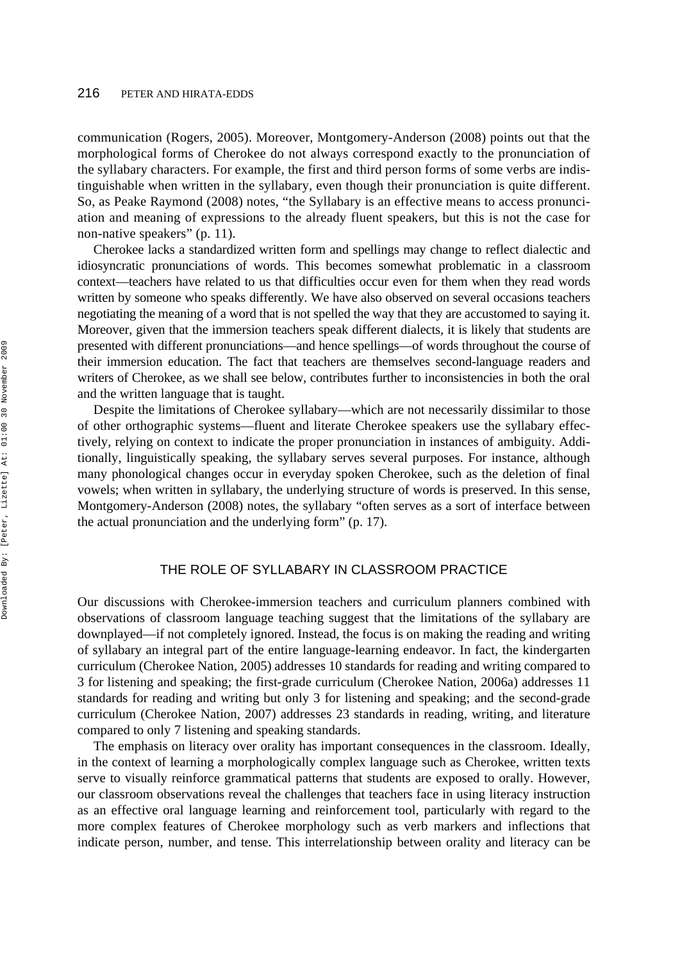communication (Rogers, 2005). Moreover, Montgomery-Anderson (2008) points out that the morphological forms of Cherokee do not always correspond exactly to the pronunciation of the syllabary characters. For example, the first and third person forms of some verbs are indistinguishable when written in the syllabary, even though their pronunciation is quite different. So, as Peake Raymond (2008) notes, "the Syllabary is an effective means to access pronunciation and meaning of expressions to the already fluent speakers, but this is not the case for non-native speakers" (p. 11).

Cherokee lacks a standardized written form and spellings may change to reflect dialectic and idiosyncratic pronunciations of words. This becomes somewhat problematic in a classroom context—teachers have related to us that difficulties occur even for them when they read words written by someone who speaks differently. We have also observed on several occasions teachers negotiating the meaning of a word that is not spelled the way that they are accustomed to saying it. Moreover, given that the immersion teachers speak different dialects, it is likely that students are presented with different pronunciations—and hence spellings—of words throughout the course of their immersion education. The fact that teachers are themselves second-language readers and writers of Cherokee, as we shall see below, contributes further to inconsistencies in both the oral and the written language that is taught.

Despite the limitations of Cherokee syllabary—which are not necessarily dissimilar to those of other orthographic systems—fluent and literate Cherokee speakers use the syllabary effectively, relying on context to indicate the proper pronunciation in instances of ambiguity. Additionally, linguistically speaking, the syllabary serves several purposes. For instance, although many phonological changes occur in everyday spoken Cherokee, such as the deletion of final vowels; when written in syllabary, the underlying structure of words is preserved. In this sense, Montgomery-Anderson (2008) notes, the syllabary "often serves as a sort of interface between the actual pronunciation and the underlying form" (p. 17).

#### THE ROLE OF SYLLABARY IN CLASSROOM PRACTICE

Our discussions with Cherokee-immersion teachers and curriculum planners combined with observations of classroom language teaching suggest that the limitations of the syllabary are downplayed—if not completely ignored. Instead, the focus is on making the reading and writing of syllabary an integral part of the entire language-learning endeavor. In fact, the kindergarten curriculum (Cherokee Nation, 2005) addresses 10 standards for reading and writing compared to 3 for listening and speaking; the first-grade curriculum (Cherokee Nation, 2006a) addresses 11 standards for reading and writing but only 3 for listening and speaking; and the second-grade curriculum (Cherokee Nation, 2007) addresses 23 standards in reading, writing, and literature compared to only 7 listening and speaking standards.

The emphasis on literacy over orality has important consequences in the classroom. Ideally, in the context of learning a morphologically complex language such as Cherokee, written texts serve to visually reinforce grammatical patterns that students are exposed to orally. However, our classroom observations reveal the challenges that teachers face in using literacy instruction as an effective oral language learning and reinforcement tool, particularly with regard to the more complex features of Cherokee morphology such as verb markers and inflections that indicate person, number, and tense. This interrelationship between orality and literacy can be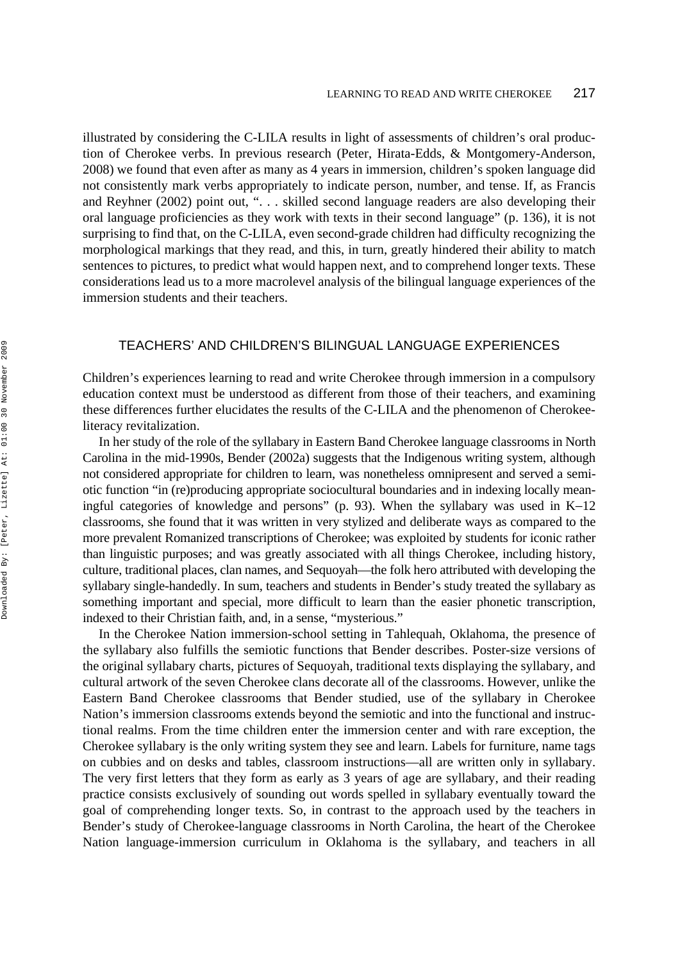illustrated by considering the C-LILA results in light of assessments of children's oral production of Cherokee verbs. In previous research (Peter, Hirata-Edds, & Montgomery-Anderson, 2008) we found that even after as many as 4 years in immersion, children's spoken language did not consistently mark verbs appropriately to indicate person, number, and tense. If, as Francis and Reyhner (2002) point out, ". . . skilled second language readers are also developing their oral language proficiencies as they work with texts in their second language" (p. 136), it is not surprising to find that, on the C-LILA, even second-grade children had difficulty recognizing the morphological markings that they read, and this, in turn, greatly hindered their ability to match sentences to pictures, to predict what would happen next, and to comprehend longer texts. These considerations lead us to a more macrolevel analysis of the bilingual language experiences of the immersion students and their teachers.

#### TEACHERS' AND CHILDREN'S BILINGUAL LANGUAGE EXPERIENCES

Children's experiences learning to read and write Cherokee through immersion in a compulsory education context must be understood as different from those of their teachers, and examining these differences further elucidates the results of the C-LILA and the phenomenon of Cherokeeliteracy revitalization.

In her study of the role of the syllabary in Eastern Band Cherokee language classrooms in North Carolina in the mid-1990s, Bender (2002a) suggests that the Indigenous writing system, although not considered appropriate for children to learn, was nonetheless omnipresent and served a semiotic function "in (re)producing appropriate sociocultural boundaries and in indexing locally meaningful categories of knowledge and persons" (p. 93). When the syllabary was used in K−12 classrooms, she found that it was written in very stylized and deliberate ways as compared to the more prevalent Romanized transcriptions of Cherokee; was exploited by students for iconic rather than linguistic purposes; and was greatly associated with all things Cherokee, including history, culture, traditional places, clan names, and Sequoyah—the folk hero attributed with developing the syllabary single-handedly. In sum, teachers and students in Bender's study treated the syllabary as something important and special, more difficult to learn than the easier phonetic transcription, indexed to their Christian faith, and, in a sense, "mysterious."

In the Cherokee Nation immersion-school setting in Tahlequah, Oklahoma, the presence of the syllabary also fulfills the semiotic functions that Bender describes. Poster-size versions of the original syllabary charts, pictures of Sequoyah, traditional texts displaying the syllabary, and cultural artwork of the seven Cherokee clans decorate all of the classrooms. However, unlike the Eastern Band Cherokee classrooms that Bender studied, use of the syllabary in Cherokee Nation's immersion classrooms extends beyond the semiotic and into the functional and instructional realms. From the time children enter the immersion center and with rare exception, the Cherokee syllabary is the only writing system they see and learn. Labels for furniture, name tags on cubbies and on desks and tables, classroom instructions—all are written only in syllabary. The very first letters that they form as early as 3 years of age are syllabary, and their reading practice consists exclusively of sounding out words spelled in syllabary eventually toward the goal of comprehending longer texts. So, in contrast to the approach used by the teachers in Bender's study of Cherokee-language classrooms in North Carolina, the heart of the Cherokee Nation language-immersion curriculum in Oklahoma is the syllabary, and teachers in all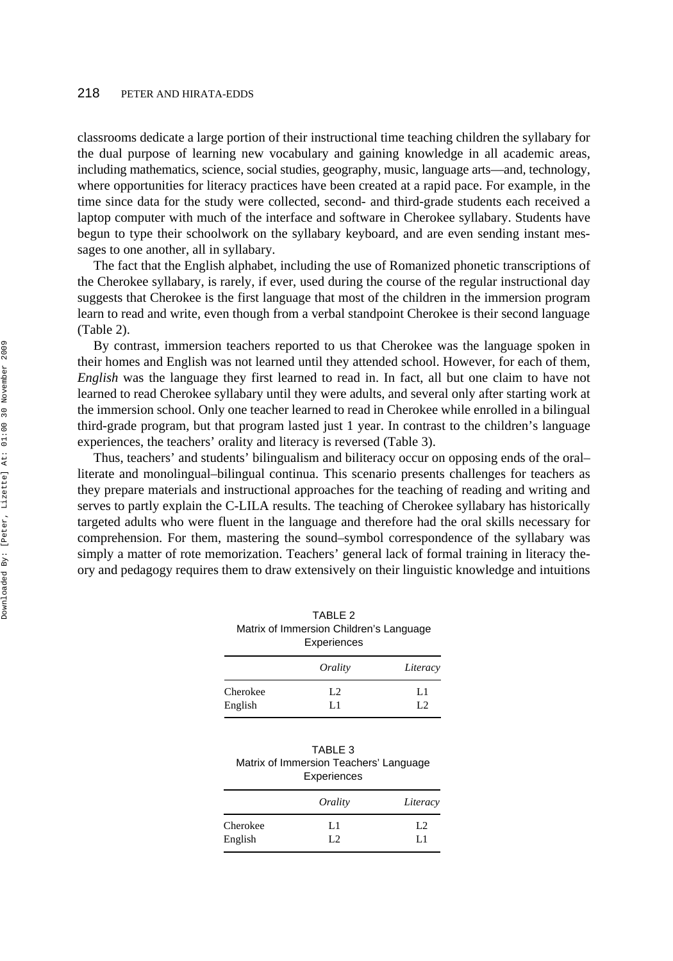classrooms dedicate a large portion of their instructional time teaching children the syllabary for the dual purpose of learning new vocabulary and gaining knowledge in all academic areas, including mathematics, science, social studies, geography, music, language arts—and, technology, where opportunities for literacy practices have been created at a rapid pace. For example, in the time since data for the study were collected, second- and third-grade students each received a laptop computer with much of the interface and software in Cherokee syllabary. Students have begun to type their schoolwork on the syllabary keyboard, and are even sending instant messages to one another, all in syllabary.

The fact that the English alphabet, including the use of Romanized phonetic transcriptions of the Cherokee syllabary, is rarely, if ever, used during the course of the regular instructional day suggests that Cherokee is the first language that most of the children in the immersion program learn to read and write, even though from a verbal standpoint Cherokee is their second language (Table 2).

By contrast, immersion teachers reported to us that Cherokee was the language spoken in their homes and English was not learned until they attended school. However, for each of them, *English* was the language they first learned to read in. In fact, all but one claim to have not learned to read Cherokee syllabary until they were adults, and several only after starting work at the immersion school. Only one teacher learned to read in Cherokee while enrolled in a bilingual third-grade program, but that program lasted just 1 year. In contrast to the children's language experiences, the teachers' orality and literacy is reversed (Table 3).

Thus, teachers' and students' bilingualism and biliteracy occur on opposing ends of the oral– literate and monolingual–bilingual continua. This scenario presents challenges for teachers as they prepare materials and instructional approaches for the teaching of reading and writing and serves to partly explain the C-LILA results. The teaching of Cherokee syllabary has historically targeted adults who were fluent in the language and therefore had the oral skills necessary for comprehension. For them, mastering the sound–symbol correspondence of the syllabary was simply a matter of rote memorization. Teachers' general lack of formal training in literacy theory and pedagogy requires them to draw extensively on their linguistic knowledge and intuitions

|          | Matrix of Immersion Children's Language<br>Experiences |          |
|----------|--------------------------------------------------------|----------|
|          | Orality                                                | Literacy |
| Cherokee | L2                                                     | L1       |
| English  | I .1                                                   | ΙЭ       |

TABLE 2

| TABLE 3                                |
|----------------------------------------|
| Matrix of Immersion Teachers' Language |
| Experiences                            |

|          | Orality | Literacy       |  |  |
|----------|---------|----------------|--|--|
| Cherokee | L1      | L <sub>2</sub> |  |  |
| English  | L2      | L1             |  |  |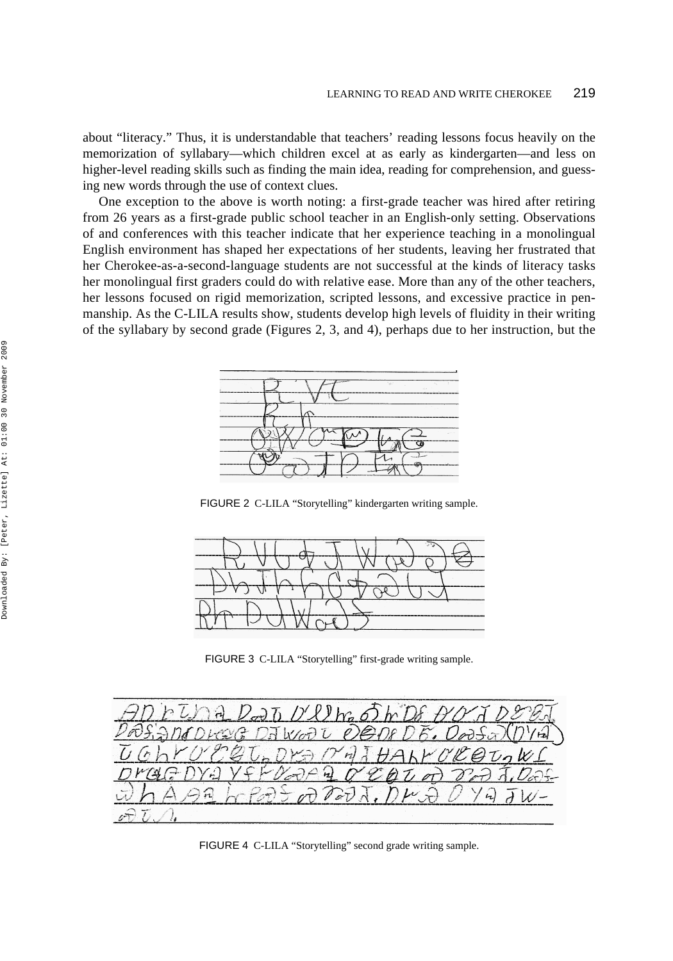about "literacy." Thus, it is understandable that teachers' reading lessons focus heavily on the memorization of syllabary—which children excel at as early as kindergarten—and less on higher-level reading skills such as finding the main idea, reading for comprehension, and guessing new words through the use of context clues.

One exception to the above is worth noting: a first-grade teacher was hired after retiring from 26 years as a first-grade public school teacher in an English-only setting. Observations of and conferences with this teacher indicate that her experience teaching in a monolingual English environment has shaped her expectations of her students, leaving her frustrated that her Cherokee-as-a-second-language students are not successful at the kinds of literacy tasks her monolingual first graders could do with relative ease. More than any of the other teachers, her lessons focused on rigid memorization, scripted lessons, and excessive practice in penmanship. As the C-LILA results show, students develop high levels of fluidity in their writing of the syllabary by second grade (Figures 2, 3, and 4), perhaps due to her instruction, but the



FIGURE 2 C-LILA "Storytelling" kindergarten writing sample.



FIGURE 3 C-LILA "Storytelling" first-grade writing sample.

| $AD$ b $L$ na $D_{\sigma}$ j v $D_{\sigma}$ b $m$ $D_{\sigma}$ $P_{\sigma}$ i $D_{\sigma}$ |
|--------------------------------------------------------------------------------------------|
| DAS, ANCOLEUS DAWOOU OBD8 DE. OOOSA(DYA)                                                   |
| UGHYULEU, DKA MAJHANYULEU, WI                                                              |
| Dreit DYA VERVOORA Q COU a) Dod J. Dods-                                                   |
| WhAAA heds word. Dra 0 YA JW-                                                              |
| $\partial \overline{v}$ .                                                                  |

FIGURE 4 C-LILA "Storytelling" second grade writing sample.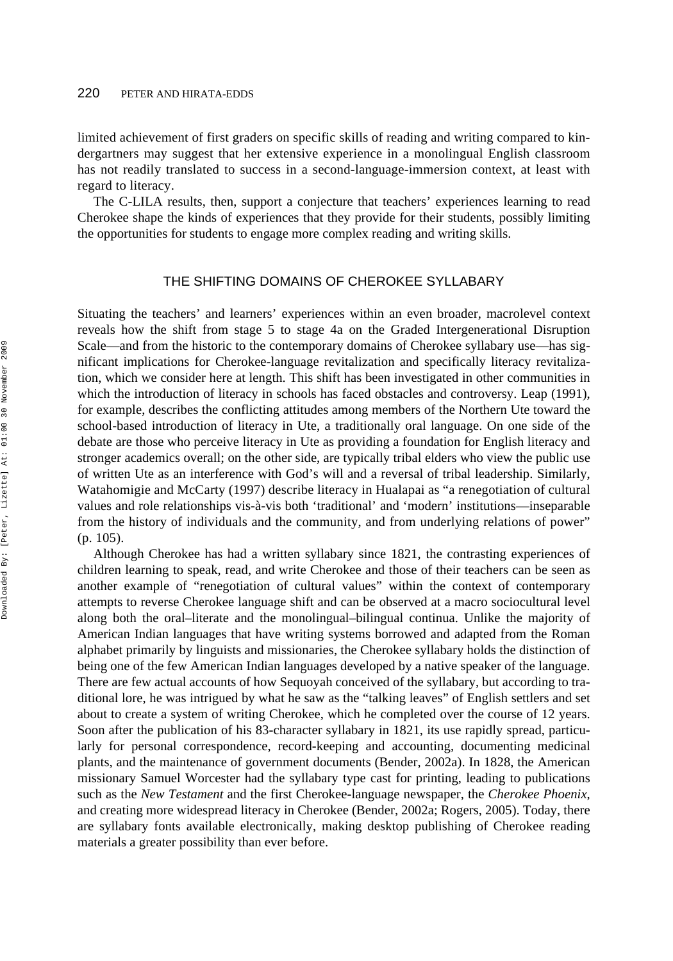limited achievement of first graders on specific skills of reading and writing compared to kindergartners may suggest that her extensive experience in a monolingual English classroom has not readily translated to success in a second-language-immersion context, at least with regard to literacy.

The C-LILA results, then, support a conjecture that teachers' experiences learning to read Cherokee shape the kinds of experiences that they provide for their students, possibly limiting the opportunities for students to engage more complex reading and writing skills.

#### THE SHIFTING DOMAINS OF CHEROKEE SYLLABARY

Situating the teachers' and learners' experiences within an even broader, macrolevel context reveals how the shift from stage 5 to stage 4a on the Graded Intergenerational Disruption Scale—and from the historic to the contemporary domains of Cherokee syllabary use—has significant implications for Cherokee-language revitalization and specifically literacy revitalization, which we consider here at length. This shift has been investigated in other communities in which the introduction of literacy in schools has faced obstacles and controversy. Leap (1991), for example, describes the conflicting attitudes among members of the Northern Ute toward the school-based introduction of literacy in Ute, a traditionally oral language. On one side of the debate are those who perceive literacy in Ute as providing a foundation for English literacy and stronger academics overall; on the other side, are typically tribal elders who view the public use of written Ute as an interference with God's will and a reversal of tribal leadership. Similarly, Watahomigie and McCarty (1997) describe literacy in Hualapai as "a renegotiation of cultural values and role relationships vis-à-vis both 'traditional' and 'modern' institutions—inseparable from the history of individuals and the community, and from underlying relations of power" (p. 105).

Although Cherokee has had a written syllabary since 1821, the contrasting experiences of children learning to speak, read, and write Cherokee and those of their teachers can be seen as another example of "renegotiation of cultural values" within the context of contemporary attempts to reverse Cherokee language shift and can be observed at a macro sociocultural level along both the oral–literate and the monolingual–bilingual continua. Unlike the majority of American Indian languages that have writing systems borrowed and adapted from the Roman alphabet primarily by linguists and missionaries, the Cherokee syllabary holds the distinction of being one of the few American Indian languages developed by a native speaker of the language. There are few actual accounts of how Sequoyah conceived of the syllabary, but according to traditional lore, he was intrigued by what he saw as the "talking leaves" of English settlers and set about to create a system of writing Cherokee, which he completed over the course of 12 years. Soon after the publication of his 83-character syllabary in 1821, its use rapidly spread, particularly for personal correspondence, record-keeping and accounting, documenting medicinal plants, and the maintenance of government documents (Bender, 2002a). In 1828, the American missionary Samuel Worcester had the syllabary type cast for printing, leading to publications such as the *New Testament* and the first Cherokee-language newspaper, the *Cherokee Phoenix*, and creating more widespread literacy in Cherokee (Bender, 2002a; Rogers, 2005). Today, there are syllabary fonts available electronically, making desktop publishing of Cherokee reading materials a greater possibility than ever before.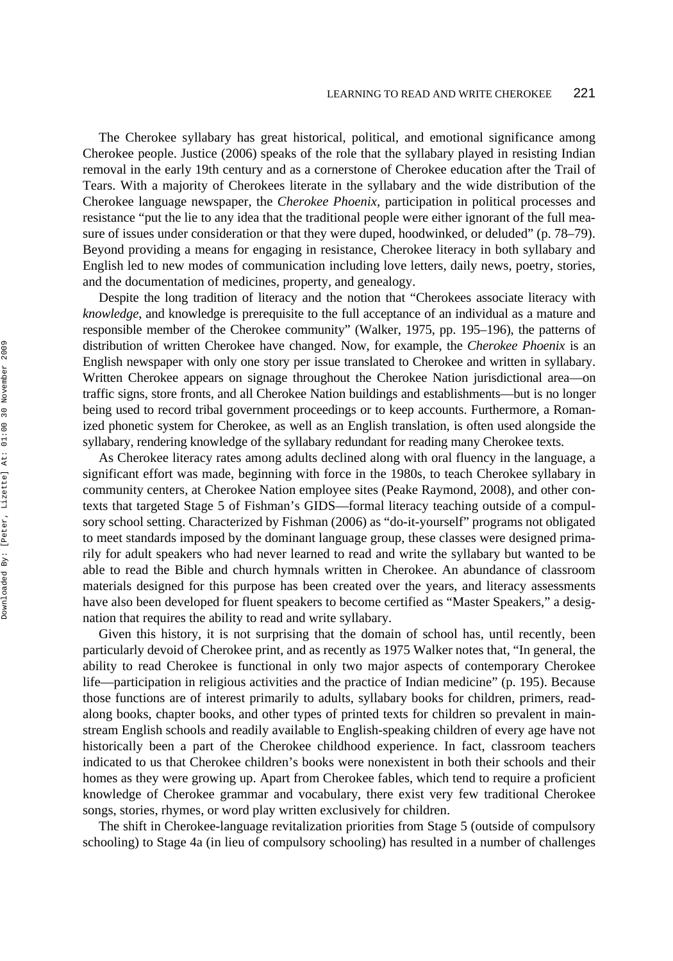The Cherokee syllabary has great historical, political, and emotional significance among Cherokee people. Justice (2006) speaks of the role that the syllabary played in resisting Indian removal in the early 19th century and as a cornerstone of Cherokee education after the Trail of Tears. With a majority of Cherokees literate in the syllabary and the wide distribution of the Cherokee language newspaper, the *Cherokee Phoenix,* participation in political processes and resistance "put the lie to any idea that the traditional people were either ignorant of the full measure of issues under consideration or that they were duped, hoodwinked, or deluded" (p. 78–79). Beyond providing a means for engaging in resistance, Cherokee literacy in both syllabary and English led to new modes of communication including love letters, daily news, poetry, stories, and the documentation of medicines, property, and genealogy.

Despite the long tradition of literacy and the notion that "Cherokees associate literacy with *knowledge*, and knowledge is prerequisite to the full acceptance of an individual as a mature and responsible member of the Cherokee community" (Walker, 1975, pp. 195–196), the patterns of distribution of written Cherokee have changed. Now, for example, the *Cherokee Phoenix* is an English newspaper with only one story per issue translated to Cherokee and written in syllabary. Written Cherokee appears on signage throughout the Cherokee Nation jurisdictional area—on traffic signs, store fronts, and all Cherokee Nation buildings and establishments—but is no longer being used to record tribal government proceedings or to keep accounts. Furthermore, a Romanized phonetic system for Cherokee, as well as an English translation, is often used alongside the syllabary, rendering knowledge of the syllabary redundant for reading many Cherokee texts.

As Cherokee literacy rates among adults declined along with oral fluency in the language, a significant effort was made, beginning with force in the 1980s, to teach Cherokee syllabary in community centers, at Cherokee Nation employee sites (Peake Raymond, 2008), and other contexts that targeted Stage 5 of Fishman's GIDS—formal literacy teaching outside of a compulsory school setting. Characterized by Fishman (2006) as "do-it-yourself" programs not obligated to meet standards imposed by the dominant language group, these classes were designed primarily for adult speakers who had never learned to read and write the syllabary but wanted to be able to read the Bible and church hymnals written in Cherokee. An abundance of classroom materials designed for this purpose has been created over the years, and literacy assessments have also been developed for fluent speakers to become certified as "Master Speakers," a designation that requires the ability to read and write syllabary.

Given this history, it is not surprising that the domain of school has, until recently, been particularly devoid of Cherokee print, and as recently as 1975 Walker notes that, "In general, the ability to read Cherokee is functional in only two major aspects of contemporary Cherokee life—participation in religious activities and the practice of Indian medicine" (p. 195). Because those functions are of interest primarily to adults, syllabary books for children, primers, readalong books, chapter books, and other types of printed texts for children so prevalent in mainstream English schools and readily available to English-speaking children of every age have not historically been a part of the Cherokee childhood experience. In fact, classroom teachers indicated to us that Cherokee children's books were nonexistent in both their schools and their homes as they were growing up. Apart from Cherokee fables, which tend to require a proficient knowledge of Cherokee grammar and vocabulary, there exist very few traditional Cherokee songs, stories, rhymes, or word play written exclusively for children.

The shift in Cherokee-language revitalization priorities from Stage 5 (outside of compulsory schooling) to Stage 4a (in lieu of compulsory schooling) has resulted in a number of challenges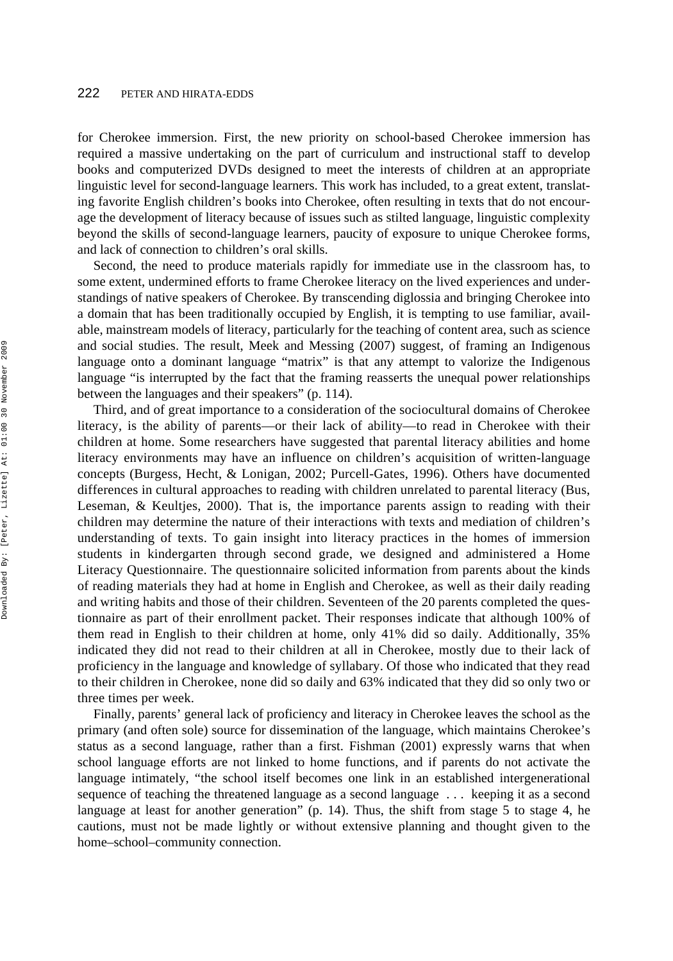for Cherokee immersion. First, the new priority on school-based Cherokee immersion has required a massive undertaking on the part of curriculum and instructional staff to develop books and computerized DVDs designed to meet the interests of children at an appropriate linguistic level for second-language learners. This work has included, to a great extent, translating favorite English children's books into Cherokee, often resulting in texts that do not encourage the development of literacy because of issues such as stilted language, linguistic complexity beyond the skills of second-language learners, paucity of exposure to unique Cherokee forms, and lack of connection to children's oral skills.

Second, the need to produce materials rapidly for immediate use in the classroom has, to some extent, undermined efforts to frame Cherokee literacy on the lived experiences and understandings of native speakers of Cherokee. By transcending diglossia and bringing Cherokee into a domain that has been traditionally occupied by English, it is tempting to use familiar, available, mainstream models of literacy, particularly for the teaching of content area, such as science and social studies. The result, Meek and Messing (2007) suggest, of framing an Indigenous language onto a dominant language "matrix" is that any attempt to valorize the Indigenous language "is interrupted by the fact that the framing reasserts the unequal power relationships between the languages and their speakers" (p. 114).

Third, and of great importance to a consideration of the sociocultural domains of Cherokee literacy, is the ability of parents—or their lack of ability—to read in Cherokee with their children at home. Some researchers have suggested that parental literacy abilities and home literacy environments may have an influence on children's acquisition of written-language concepts (Burgess, Hecht, & Lonigan, 2002; Purcell-Gates, 1996). Others have documented differences in cultural approaches to reading with children unrelated to parental literacy (Bus, Leseman, & Keultjes, 2000). That is, the importance parents assign to reading with their children may determine the nature of their interactions with texts and mediation of children's understanding of texts. To gain insight into literacy practices in the homes of immersion students in kindergarten through second grade, we designed and administered a Home Literacy Questionnaire. The questionnaire solicited information from parents about the kinds of reading materials they had at home in English and Cherokee, as well as their daily reading and writing habits and those of their children. Seventeen of the 20 parents completed the questionnaire as part of their enrollment packet. Their responses indicate that although 100% of them read in English to their children at home, only 41% did so daily. Additionally, 35% indicated they did not read to their children at all in Cherokee, mostly due to their lack of proficiency in the language and knowledge of syllabary. Of those who indicated that they read to their children in Cherokee, none did so daily and 63% indicated that they did so only two or three times per week.

Finally, parents' general lack of proficiency and literacy in Cherokee leaves the school as the primary (and often sole) source for dissemination of the language, which maintains Cherokee's status as a second language, rather than a first. Fishman (2001) expressly warns that when school language efforts are not linked to home functions, and if parents do not activate the language intimately, "the school itself becomes one link in an established intergenerational sequence of teaching the threatened language as a second language . . . keeping it as a second language at least for another generation" (p. 14). Thus, the shift from stage 5 to stage 4, he cautions, must not be made lightly or without extensive planning and thought given to the home–school–community connection.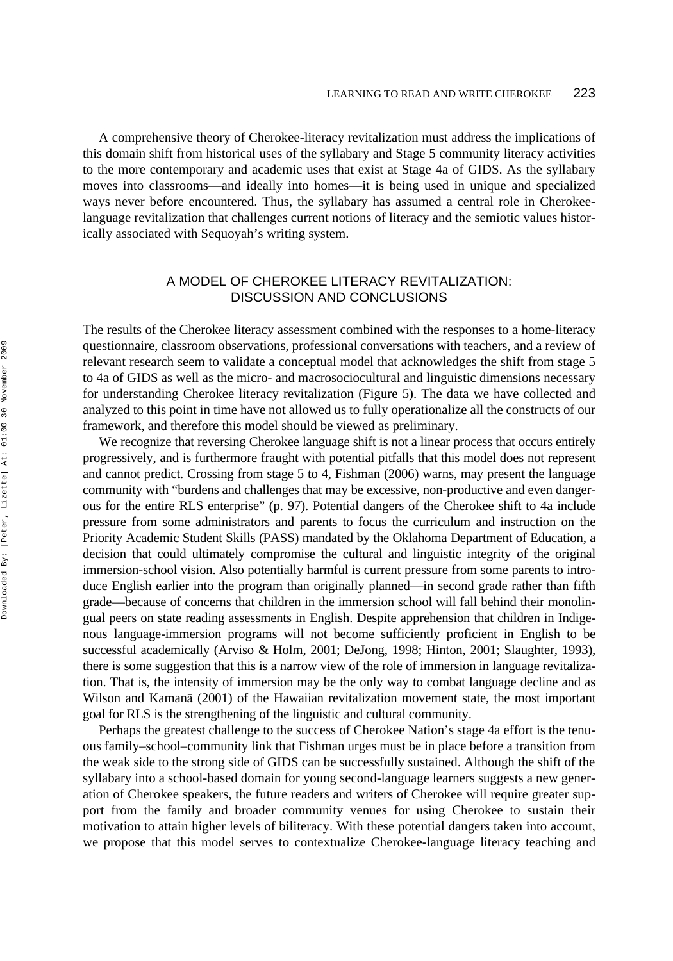A comprehensive theory of Cherokee-literacy revitalization must address the implications of this domain shift from historical uses of the syllabary and Stage 5 community literacy activities to the more contemporary and academic uses that exist at Stage 4a of GIDS. As the syllabary moves into classrooms—and ideally into homes—it is being used in unique and specialized ways never before encountered. Thus, the syllabary has assumed a central role in Cherokeelanguage revitalization that challenges current notions of literacy and the semiotic values historically associated with Sequoyah's writing system.

## A MODEL OF CHEROKEE LITERACY REVITALIZATION: DISCUSSION AND CONCLUSIONS

The results of the Cherokee literacy assessment combined with the responses to a home-literacy questionnaire, classroom observations, professional conversations with teachers, and a review of relevant research seem to validate a conceptual model that acknowledges the shift from stage 5 to 4a of GIDS as well as the micro- and macrosociocultural and linguistic dimensions necessary for understanding Cherokee literacy revitalization (Figure 5). The data we have collected and analyzed to this point in time have not allowed us to fully operationalize all the constructs of our framework, and therefore this model should be viewed as preliminary.

We recognize that reversing Cherokee language shift is not a linear process that occurs entirely progressively, and is furthermore fraught with potential pitfalls that this model does not represent and cannot predict. Crossing from stage 5 to 4, Fishman (2006) warns, may present the language community with "burdens and challenges that may be excessive, non-productive and even dangerous for the entire RLS enterprise" (p. 97). Potential dangers of the Cherokee shift to 4a include pressure from some administrators and parents to focus the curriculum and instruction on the Priority Academic Student Skills (PASS) mandated by the Oklahoma Department of Education, a decision that could ultimately compromise the cultural and linguistic integrity of the original immersion-school vision. Also potentially harmful is current pressure from some parents to introduce English earlier into the program than originally planned—in second grade rather than fifth grade—because of concerns that children in the immersion school will fall behind their monolingual peers on state reading assessments in English. Despite apprehension that children in Indigenous language-immersion programs will not become sufficiently proficient in English to be successful academically (Arviso & Holm, 2001; DeJong, 1998; Hinton, 2001; Slaughter, 1993), there is some suggestion that this is a narrow view of the role of immersion in language revitalization. That is, the intensity of immersion may be the only way to combat language decline and as Wilson and Kamana (2001) of the Hawaiian revitalization movement state, the most important goal for RLS is the strengthening of the linguistic and cultural community.

Perhaps the greatest challenge to the success of Cherokee Nation's stage 4a effort is the tenuous family–school–community link that Fishman urges must be in place before a transition from the weak side to the strong side of GIDS can be successfully sustained. Although the shift of the syllabary into a school-based domain for young second-language learners suggests a new generation of Cherokee speakers, the future readers and writers of Cherokee will require greater support from the family and broader community venues for using Cherokee to sustain their motivation to attain higher levels of biliteracy. With these potential dangers taken into account, we propose that this model serves to contextualize Cherokee-language literacy teaching and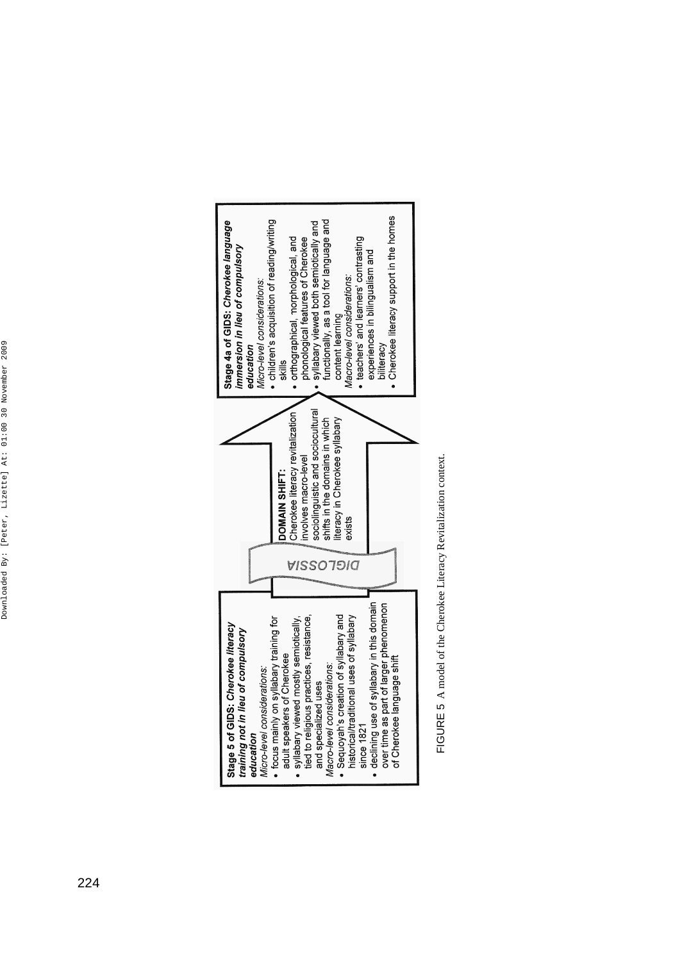

FIGURE 5 A model of the Cherokee Literacy Revitalization context. FIGURE 5 A model of the Cherokee Literacy Revitalization context.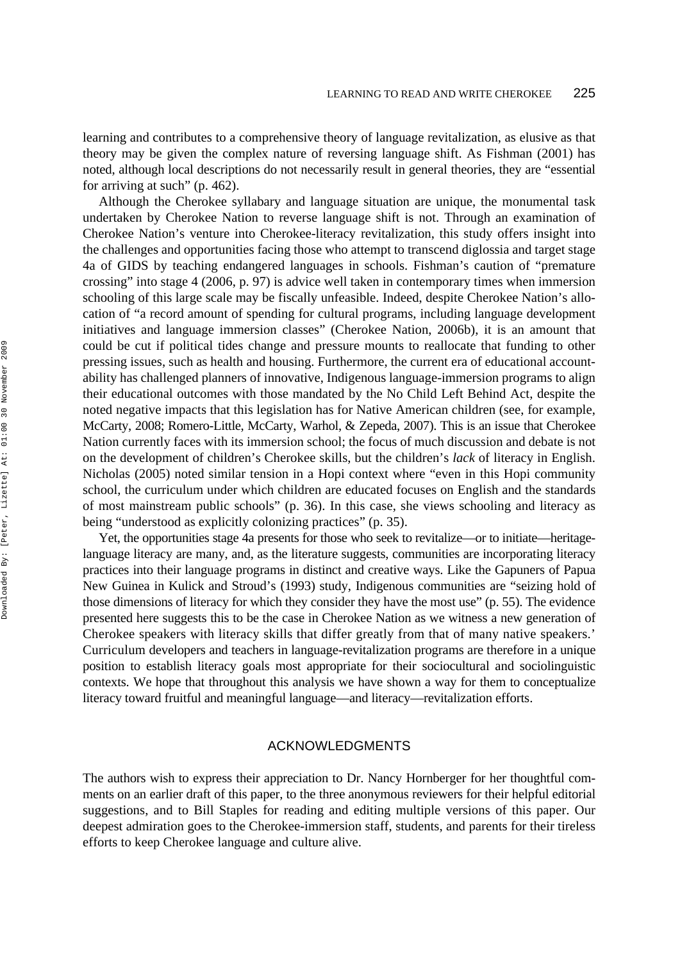learning and contributes to a comprehensive theory of language revitalization, as elusive as that theory may be given the complex nature of reversing language shift. As Fishman (2001) has noted, although local descriptions do not necessarily result in general theories, they are "essential for arriving at such" (p. 462).

Although the Cherokee syllabary and language situation are unique, the monumental task undertaken by Cherokee Nation to reverse language shift is not. Through an examination of Cherokee Nation's venture into Cherokee-literacy revitalization, this study offers insight into the challenges and opportunities facing those who attempt to transcend diglossia and target stage 4a of GIDS by teaching endangered languages in schools. Fishman's caution of "premature crossing" into stage 4 (2006, p. 97) is advice well taken in contemporary times when immersion schooling of this large scale may be fiscally unfeasible. Indeed, despite Cherokee Nation's allocation of "a record amount of spending for cultural programs, including language development initiatives and language immersion classes" (Cherokee Nation, 2006b), it is an amount that could be cut if political tides change and pressure mounts to reallocate that funding to other pressing issues, such as health and housing. Furthermore, the current era of educational accountability has challenged planners of innovative, Indigenous language-immersion programs to align their educational outcomes with those mandated by the No Child Left Behind Act, despite the noted negative impacts that this legislation has for Native American children (see, for example, McCarty, 2008; Romero-Little, McCarty, Warhol, & Zepeda, 2007). This is an issue that Cherokee Nation currently faces with its immersion school; the focus of much discussion and debate is not on the development of children's Cherokee skills, but the children's *lack* of literacy in English. Nicholas (2005) noted similar tension in a Hopi context where "even in this Hopi community school, the curriculum under which children are educated focuses on English and the standards of most mainstream public schools" (p. 36). In this case, she views schooling and literacy as being "understood as explicitly colonizing practices" (p. 35).

Yet, the opportunities stage 4a presents for those who seek to revitalize—or to initiate—heritagelanguage literacy are many, and, as the literature suggests, communities are incorporating literacy practices into their language programs in distinct and creative ways. Like the Gapuners of Papua New Guinea in Kulick and Stroud's (1993) study, Indigenous communities are "seizing hold of those dimensions of literacy for which they consider they have the most use" (p. 55). The evidence presented here suggests this to be the case in Cherokee Nation as we witness a new generation of Cherokee speakers with literacy skills that differ greatly from that of many native speakers.' Curriculum developers and teachers in language-revitalization programs are therefore in a unique position to establish literacy goals most appropriate for their sociocultural and sociolinguistic contexts. We hope that throughout this analysis we have shown a way for them to conceptualize literacy toward fruitful and meaningful language—and literacy—revitalization efforts.

#### ACKNOWLEDGMENTS

The authors wish to express their appreciation to Dr. Nancy Hornberger for her thoughtful comments on an earlier draft of this paper, to the three anonymous reviewers for their helpful editorial suggestions, and to Bill Staples for reading and editing multiple versions of this paper. Our deepest admiration goes to the Cherokee-immersion staff, students, and parents for their tireless efforts to keep Cherokee language and culture alive.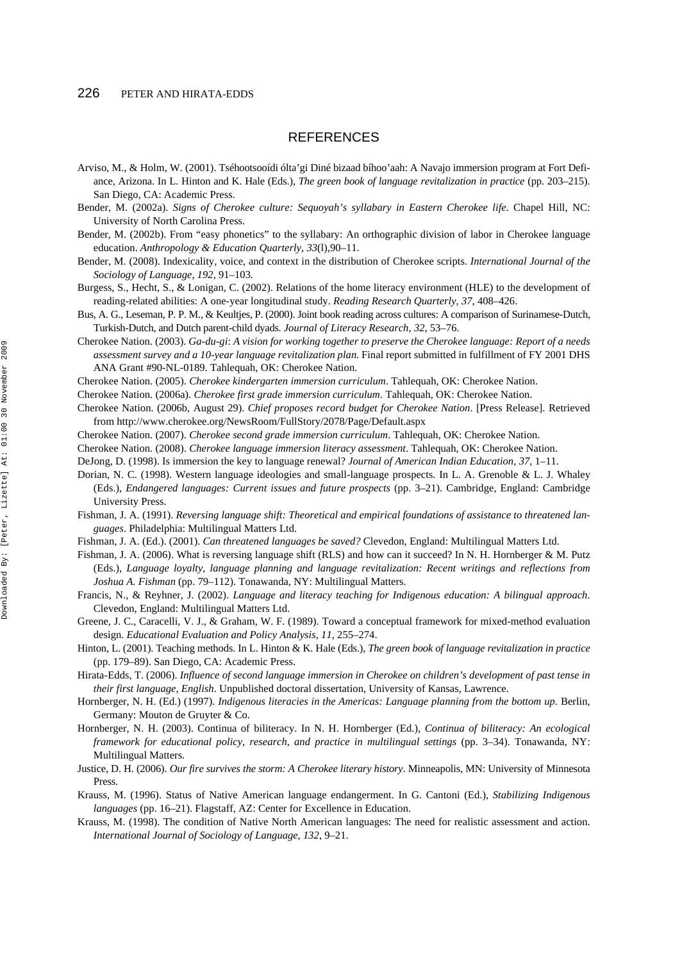#### **REFERENCES**

- Arviso, M., & Holm, W. (2001). Tséhootsooídi ólta'gi Diné bizaad bíhoo'aah: A Navajo immersion program at Fort Defiance, Arizona. In L. Hinton and K. Hale (Eds.), *The green book of language revitalization in practice* (pp. 203–215). San Diego, CA: Academic Press.
- Bender, M. (2002a). *Signs of Cherokee culture: Sequoyah's syllabary in Eastern Cherokee life*. Chapel Hill, NC: University of North Carolina Press.
- Bender, M. (2002b). From "easy phonetics" to the syllabary: An orthographic division of labor in Cherokee language education. *Anthropology & Education Quarterly*, *33*(l),90–11.
- Bender, M. (2008). Indexicality, voice, and context in the distribution of Cherokee scripts. *International Journal of the Sociology of Language*, *192*, 91–103.

Burgess, S., Hecht, S., & Lonigan, C. (2002). Relations of the home literacy environment (HLE) to the development of reading-related abilities: A one-year longitudinal study. *Reading Research Quarterly*, *37*, 408–426.

Bus, A. G., Leseman, P. P. M., & Keultjes, P. (2000). Joint book reading across cultures: A comparison of Surinamese-Dutch, Turkish-Dutch, and Dutch parent-child dyads. *Journal of Literacy Research*, *32*, 53–76.

Cherokee Nation. (2003). *Ga-du-gi*: *A vision for working together to preserve the Cherokee language: Report of a needs assessment survey and a 10-year language revitalization plan*. Final report submitted in fulfillment of FY 2001 DHS ANA Grant #90-NL-0189. Tahlequah, OK: Cherokee Nation.

Cherokee Nation. (2005). *Cherokee kindergarten immersion curriculum*. Tahlequah, OK: Cherokee Nation.

Cherokee Nation. (2006a). *Cherokee first grade immersion curriculum*. Tahlequah, OK: Cherokee Nation.

- Cherokee Nation. (2006b, August 29). *Chief proposes record budget for Cherokee Nation*. [Press Release]. Retrieved from http://www.cherokee.org/NewsRoom/FullStory/2078/Page/Default.aspx
- Cherokee Nation. (2007). *Cherokee second grade immersion curriculum*. Tahlequah, OK: Cherokee Nation.
- Cherokee Nation. (2008). *Cherokee language immersion literacy assessment*. Tahlequah, OK: Cherokee Nation.
- DeJong, D. (1998). Is immersion the key to language renewal? *Journal of American Indian Education*, *37*, 1–11.
- Dorian, N. C. (1998). Western language ideologies and small-language prospects. In L. A. Grenoble & L. J. Whaley (Eds.), *Endangered languages: Current issues and future prospects* (pp. 3–21). Cambridge, England: Cambridge University Press.
- Fishman, J. A. (1991). *Reversing language shift: Theoretical and empirical foundations of assistance to threatened languages*. Philadelphia: Multilingual Matters Ltd.
- Fishman, J. A. (Ed.). (2001). *Can threatened languages be saved?* Clevedon, England: Multilingual Matters Ltd.
- Fishman, J. A. (2006). What is reversing language shift (RLS) and how can it succeed? In N. H. Hornberger & M. Putz (Eds.), *Language loyalty, language planning and language revitalization: Recent writings and reflections from Joshua A. Fishman* (pp. 79–112). Tonawanda, NY: Multilingual Matters.
- Francis, N., & Reyhner, J. (2002). *Language and literacy teaching for Indigenous education: A bilingual approach*. Clevedon, England: Multilingual Matters Ltd.
- Greene, J. C., Caracelli, V. J., & Graham, W. F. (1989). Toward a conceptual framework for mixed-method evaluation design. *Educational Evaluation and Policy Analysis*, *11*, 255–274.
- Hinton, L. (2001). Teaching methods. In L. Hinton & K. Hale (Eds.), *The green book of language revitalization in practice* (pp. 179–89). San Diego, CA: Academic Press.
- Hirata-Edds, T. (2006). *Influence of second language immersion in Cherokee on children's development of past tense in their first language, English*. Unpublished doctoral dissertation, University of Kansas, Lawrence.
- Hornberger, N. H. (Ed.) (1997). *Indigenous literacies in the Americas: Language planning from the bottom up*. Berlin, Germany: Mouton de Gruyter & Co.
- Hornberger, N. H. (2003). Continua of biliteracy. In N. H. Hornberger (Ed.), *Continua of biliteracy: An ecological framework for educational policy, research, and practice in multilingual settings* (pp. 3–34). Tonawanda, NY: Multilingual Matters.
- Justice, D. H. (2006). *Our fire survives the storm: A Cherokee literary history*. Minneapolis, MN: University of Minnesota Press.
- Krauss, M. (1996). Status of Native American language endangerment. In G. Cantoni (Ed.), *Stabilizing Indigenous languages* (pp. 16–21). Flagstaff, AZ: Center for Excellence in Education.
- Krauss, M. (1998). The condition of Native North American languages: The need for realistic assessment and action. *International Journal of Sociology of Language*, *132*, 9–21.